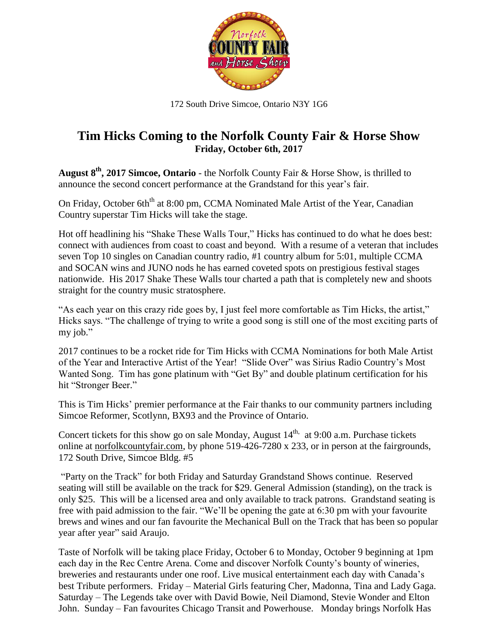

172 South Drive Simcoe, Ontario N3Y 1G6

## **Tim Hicks Coming to the Norfolk County Fair & Horse Show Friday, October 6th, 2017**

**August 8 th , 2017 Simcoe, Ontario** - the Norfolk County Fair & Horse Show, is thrilled to announce the second concert performance at the Grandstand for this year's fair.

On Friday, October 6th<sup>th</sup> at 8:00 pm, CCMA Nominated Male Artist of the Year, Canadian Country superstar Tim Hicks will take the stage.

Hot off headlining his "Shake These Walls Tour," Hicks has continued to do what he does best: connect with audiences from coast to coast and beyond. With a resume of a veteran that includes seven Top 10 singles on Canadian country radio, #1 country album for 5:01, multiple CCMA and SOCAN wins and JUNO nods he has earned coveted spots on prestigious festival stages nationwide. His 2017 Shake These Walls tour charted a path that is completely new and shoots straight for the country music stratosphere.

"As each year on this crazy ride goes by, I just feel more comfortable as Tim Hicks, the artist," Hicks says. "The challenge of trying to write a good song is still one of the most exciting parts of my job."

2017 continues to be a rocket ride for Tim Hicks with CCMA Nominations for both Male Artist of the Year and Interactive Artist of the Year! "Slide Over" was Sirius Radio Country's Most Wanted Song. Tim has gone platinum with "Get By" and double platinum certification for his hit "Stronger Beer."

This is Tim Hicks' premier performance at the Fair thanks to our community partners including Simcoe Reformer, Scotlynn, BX93 and the Province of Ontario.

Concert tickets for this show go on sale Monday, August  $14<sup>th</sup>$ , at 9:00 a.m. Purchase tickets online at [norfolkcountyfair.com,](http://www.norfolkcountyfair.com/) by phone 519-426-7280 x 233, or in person at the fairgrounds, 172 South Drive, Simcoe Bldg. #5

"Party on the Track" for both Friday and Saturday Grandstand Shows continue. Reserved seating will still be available on the track for \$29. General Admission (standing), on the track is only \$25. This will be a licensed area and only available to track patrons. Grandstand seating is free with paid admission to the fair. "We'll be opening the gate at 6:30 pm with your favourite brews and wines and our fan favourite the Mechanical Bull on the Track that has been so popular year after year" said Araujo.

Taste of Norfolk will be taking place Friday, October 6 to Monday, October 9 beginning at 1pm each day in the Rec Centre Arena. Come and discover Norfolk County's bounty of wineries, breweries and restaurants under one roof. Live musical entertainment each day with Canada's best Tribute performers. Friday – Material Girls featuring Cher, Madonna, Tina and Lady Gaga. Saturday – The Legends take over with David Bowie, Neil Diamond, Stevie Wonder and Elton John. Sunday – Fan favourites Chicago Transit and Powerhouse. Monday brings Norfolk Has